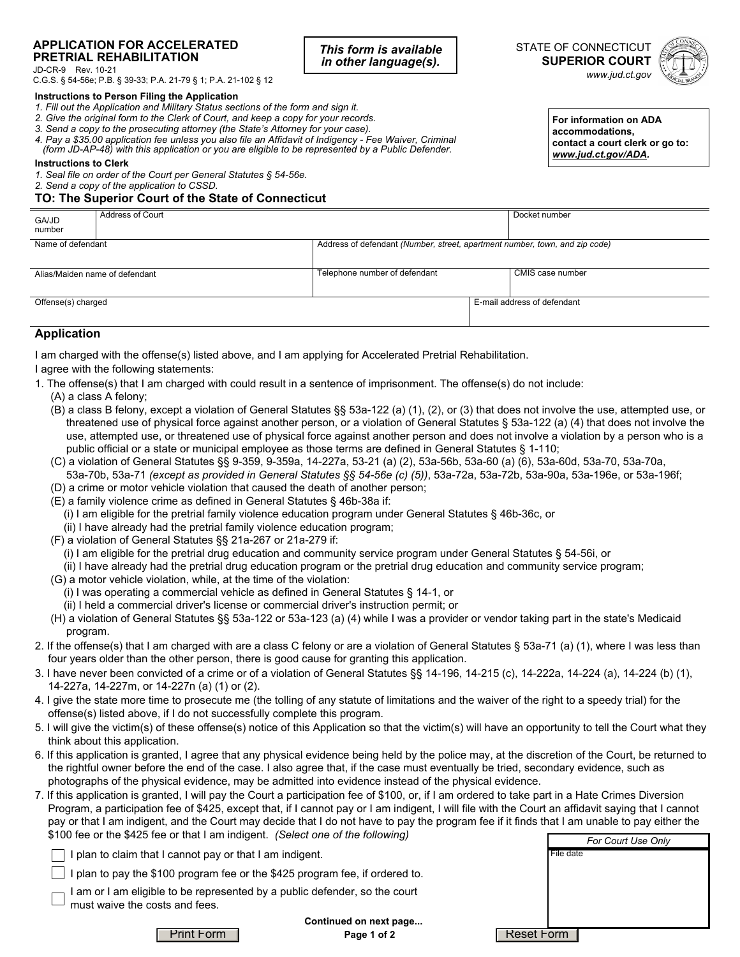#### **APPLICATION FOR ACCELERATED PRETRIAL REHABILITATION**

JD-CR-9 Rev. 10-21

C.G.S. § 54-56e; P.B. § 39-33; P.A. 21-79 § 1; P.A. 21-102 § 12

#### **Instructions to Person Filing the Application**

- *1. Fill out the Application and Military Status sections of the form and sign it.*
- *2. Give the original form to the Clerk of Court, and keep a copy for your records.*
- *3. Send a copy to the prosecuting attorney (the State's Attorney for your case).*
- *4. Pay a \$35.00 application fee unless you also file an Affidavit of Indigency Fee Waiver, Criminal (form JD-AP-48) with this application or you are eligible to be represented by a Public Defender.*

#### **Instructions to Clerk**

*1. Seal file on order of the Court per General Statutes § 54-56e.* 

# *2. Send a copy of the application to CSSD.*

## **TO: The Superior Court of the State of Connecticut**

*This form is available in other language(s).*





**For information on ADA accommodations, contact a court clerk or go to:**  *www.jud.ct.gov/ADA.*

| GA/JD<br>number    | Address of Court               |                                                                             | Docket number               |
|--------------------|--------------------------------|-----------------------------------------------------------------------------|-----------------------------|
| Name of defendant  |                                | Address of defendant (Number, street, apartment number, town, and zip code) |                             |
|                    | Alias/Maiden name of defendant | Telephone number of defendant                                               | CMIS case number            |
| Offense(s) charged |                                |                                                                             | E-mail address of defendant |

### **Application**

I am charged with the offense(s) listed above, and I am applying for Accelerated Pretrial Rehabilitation.

I agree with the following statements:

- 1. The offense(s) that I am charged with could result in a sentence of imprisonment. The offense(s) do not include:
	- (A) a class A felony;
	- (B) a class B felony, except a violation of General Statutes §§ 53a-122 (a) (1), (2), or (3) that does not involve the use, attempted use, or threatened use of physical force against another person, or a violation of General Statutes § 53a-122 (a) (4) that does not involve the use, attempted use, or threatened use of physical force against another person and does not involve a violation by a person who is a public official or a state or municipal employee as those terms are defined in General Statutes § 1-110;
	- (C) a violation of General Statutes §§ 9-359, 9-359a, 14-227a, 53-21 (a) (2), 53a-56b, 53a-60 (a) (6), 53a-60d, 53a-70, 53a-70a, 53a-70b, 53a-71 *(except as provided in General Statutes §§ 54-56e (c) (5))*, 53a-72a, 53a-72b, 53a-90a, 53a-196e, or 53a-196f;
	- (D) a crime or motor vehicle violation that caused the death of another person;
	- (E) a family violence crime as defined in General Statutes § 46b-38a if:
		- (i) I am eligible for the pretrial family violence education program under General Statutes § 46b-36c, or
		- (ii) I have already had the pretrial family violence education program;
	- (F) a violation of General Statutes §§ 21a-267 or 21a-279 if:
		- (i) I am eligible for the pretrial drug education and community service program under General Statutes § 54-56i, or
		- (ii) I have already had the pretrial drug education program or the pretrial drug education and community service program;
	- (G) a motor vehicle violation, while, at the time of the violation:
		- (i) I was operating a commercial vehicle as defined in General Statutes § 14-1, or
		- (ii) I held a commercial driver's license or commercial driver's instruction permit; or
	- (H) a violation of General Statutes §§ 53a-122 or 53a-123 (a) (4) while I was a provider or vendor taking part in the state's Medicaid program.
- 2. If the offense(s) that I am charged with are a class C felony or are a violation of General Statutes § 53a-71 (a) (1), where I was less than four years older than the other person, there is good cause for granting this application.
- 3. I have never been convicted of a crime or of a violation of General Statutes §§ 14-196, 14-215 (c), 14-222a, 14-224 (a), 14-224 (b) (1), 14-227a, 14-227m, or 14-227n (a) (1) or (2).
- 4. I give the state more time to prosecute me (the tolling of any statute of limitations and the waiver of the right to a speedy trial) for the offense(s) listed above, if I do not successfully complete this program.
- 5. I will give the victim(s) of these offense(s) notice of this Application so that the victim(s) will have an opportunity to tell the Court what they think about this application.
- 6. If this application is granted, I agree that any physical evidence being held by the police may, at the discretion of the Court, be returned to the rightful owner before the end of the case. I also agree that, if the case must eventually be tried, secondary evidence, such as photographs of the physical evidence, may be admitted into evidence instead of the physical evidence.
- 7. If this application is granted, I will pay the Court a participation fee of \$100, or, if I am ordered to take part in a Hate Crimes Diversion Program, a participation fee of \$425, except that, if I cannot pay or I am indigent, I will file with the Court an affidavit saying that I cannot pay or that I am indigent, and the Court may decide that I do not have to pay the program fee if it finds that I am unable to pay either the \$100 fee or the \$425 fee or that I am indigent. *(Select one of the following)*

| whose too of this will not of that I all malgorith fooloot one of the renoming,                                              | For Court Use Only |
|------------------------------------------------------------------------------------------------------------------------------|--------------------|
| I plan to claim that I cannot pay or that I am indigent.                                                                     | File date          |
| I plan to pay the \$100 program fee or the \$425 program fee, if ordered to.                                                 |                    |
| am or I am eligible to be represented by a public defender, so the court<br>$\rightharpoonup$ must waive the costs and fees. |                    |
| Continued on next page                                                                                                       |                    |
| <b>Print Form</b><br>Page 1 of 2                                                                                             | Reset Form         |